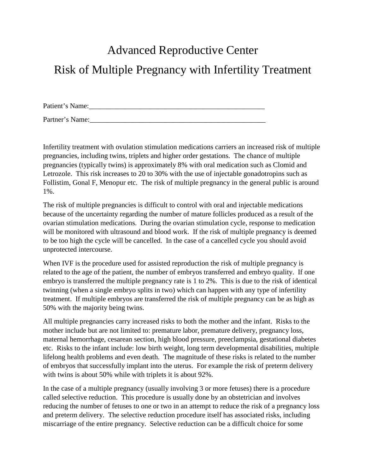# Advanced Reproductive Center Risk of Multiple Pregnancy with Infertility Treatment

Patient's Name:\_\_\_\_\_\_\_\_\_\_\_\_\_\_\_\_\_\_\_\_\_\_\_\_\_\_\_\_\_\_\_\_\_\_\_\_\_\_\_\_\_\_\_\_\_\_\_\_\_

Partner's Name:

Infertility treatment with ovulation stimulation medications carriers an increased risk of multiple pregnancies, including twins, triplets and higher order gestations. The chance of multiple pregnancies (typically twins) is approximately 8% with oral medication such as Clomid and Letrozole. This risk increases to 20 to 30% with the use of injectable gonadotropins such as Follistim, Gonal F, Menopur etc. The risk of multiple pregnancy in the general public is around 1%.

The risk of multiple pregnancies is difficult to control with oral and injectable medications because of the uncertainty regarding the number of mature follicles produced as a result of the ovarian stimulation medications. During the ovarian stimulation cycle, response to medication will be monitored with ultrasound and blood work. If the risk of multiple pregnancy is deemed to be too high the cycle will be cancelled. In the case of a cancelled cycle you should avoid unprotected intercourse.

When IVF is the procedure used for assisted reproduction the risk of multiple pregnancy is related to the age of the patient, the number of embryos transferred and embryo quality. If one embryo is transferred the multiple pregnancy rate is 1 to 2%. This is due to the risk of identical twinning (when a single embryo splits in two) which can happen with any type of infertility treatment. If multiple embryos are transferred the risk of multiple pregnancy can be as high as 50% with the majority being twins.

All multiple pregnancies carry increased risks to both the mother and the infant. Risks to the mother include but are not limited to: premature labor, premature delivery, pregnancy loss, maternal hemorrhage, cesarean section, high blood pressure, preeclampsia, gestational diabetes etc. Risks to the infant include: low birth weight, long term developmental disabilities, multiple lifelong health problems and even death. The magnitude of these risks is related to the number of embryos that successfully implant into the uterus. For example the risk of preterm delivery with twins is about 50% while with triplets it is about 92%.

In the case of a multiple pregnancy (usually involving 3 or more fetuses) there is a procedure called selective reduction. This procedure is usually done by an obstetrician and involves reducing the number of fetuses to one or two in an attempt to reduce the risk of a pregnancy loss and preterm delivery. The selective reduction procedure itself has associated risks, including miscarriage of the entire pregnancy. Selective reduction can be a difficult choice for some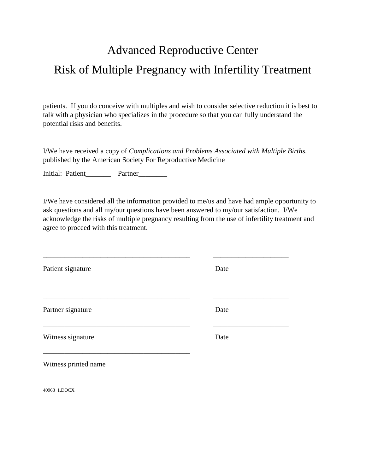## Advanced Reproductive Center Risk of Multiple Pregnancy with Infertility Treatment

patients. If you do conceive with multiples and wish to consider selective reduction it is best to talk with a physician who specializes in the procedure so that you can fully understand the potential risks and benefits.

I/We have received a copy of *Complications and Problems Associated with Multiple Births.*  published by the American Society For Reproductive Medicine

Initial: Patient\_\_\_\_\_\_\_ Partner\_\_\_\_\_\_\_

I/We have considered all the information provided to me/us and have had ample opportunity to ask questions and all my/our questions have been answered to my/our satisfaction. I/We acknowledge the risks of multiple pregnancy resulting from the use of infertility treatment and agree to proceed with this treatment.

\_\_\_\_\_\_\_\_\_\_\_\_\_\_\_\_\_\_\_\_\_\_\_\_\_\_\_\_\_\_\_\_\_\_\_\_\_\_\_\_\_ \_\_\_\_\_\_\_\_\_\_\_\_\_\_\_\_\_\_\_\_\_ Patient signature Date \_\_\_\_\_\_\_\_\_\_\_\_\_\_\_\_\_\_\_\_\_\_\_\_\_\_\_\_\_\_\_\_\_\_\_\_\_\_\_\_\_ \_\_\_\_\_\_\_\_\_\_\_\_\_\_\_\_\_\_\_\_\_ Partner signature Date \_\_\_\_\_\_\_\_\_\_\_\_\_\_\_\_\_\_\_\_\_\_\_\_\_\_\_\_\_\_\_\_\_\_\_\_\_\_\_\_\_ \_\_\_\_\_\_\_\_\_\_\_\_\_\_\_\_\_\_\_\_\_ Witness signature Date \_\_\_\_\_\_\_\_\_\_\_\_\_\_\_\_\_\_\_\_\_\_\_\_\_\_\_\_\_\_\_\_\_\_\_\_\_\_\_\_\_

Witness printed name

40963\_1.DOCX